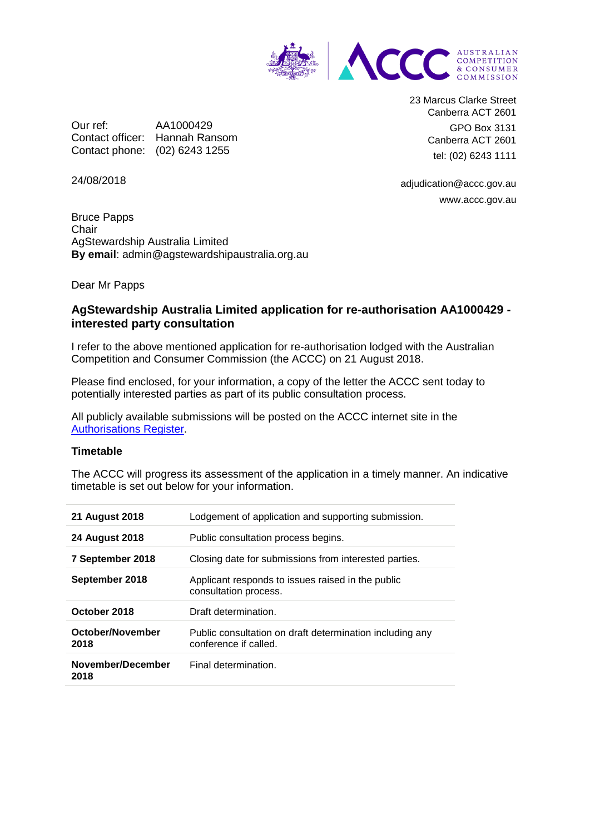

Our ref: AA1000429 Contact officer: Hannah Ransom Contact phone: (02) 6243 1255

23 Marcus Clarke Street Canberra ACT 2601 GPO Box 3131 Canberra ACT 2601 tel: (02) 6243 1111

24/08/2018

adjudication@accc.gov.au www.accc.gov.au

Bruce Papps **Chair** AgStewardship Australia Limited **By email**: admin@agstewardshipaustralia.org.au

Dear Mr Papps

## **AgStewardship Australia Limited application for re-authorisation AA1000429 interested party consultation**

I refer to the above mentioned application for re-authorisation lodged with the Australian Competition and Consumer Commission (the ACCC) on 21 August 2018.

Please find enclosed, for your information, a copy of the letter the ACCC sent today to potentially interested parties as part of its public consultation process.

All publicly available submissions will be posted on the ACCC internet site in the [Authorisations Register.](https://www.accc.gov.au/public-registers/authorisations-and-notifications-registers/authorisations-register)

## **Timetable**

The ACCC will progress its assessment of the application in a timely manner. An indicative timetable is set out below for your information.

| <b>21 August 2018</b>     | Lodgement of application and supporting submission.                               |
|---------------------------|-----------------------------------------------------------------------------------|
| <b>24 August 2018</b>     | Public consultation process begins.                                               |
| 7 September 2018          | Closing date for submissions from interested parties.                             |
| September 2018            | Applicant responds to issues raised in the public<br>consultation process.        |
| October 2018              | Draft determination.                                                              |
| October/November<br>2018  | Public consultation on draft determination including any<br>conference if called. |
| November/December<br>2018 | Final determination.                                                              |